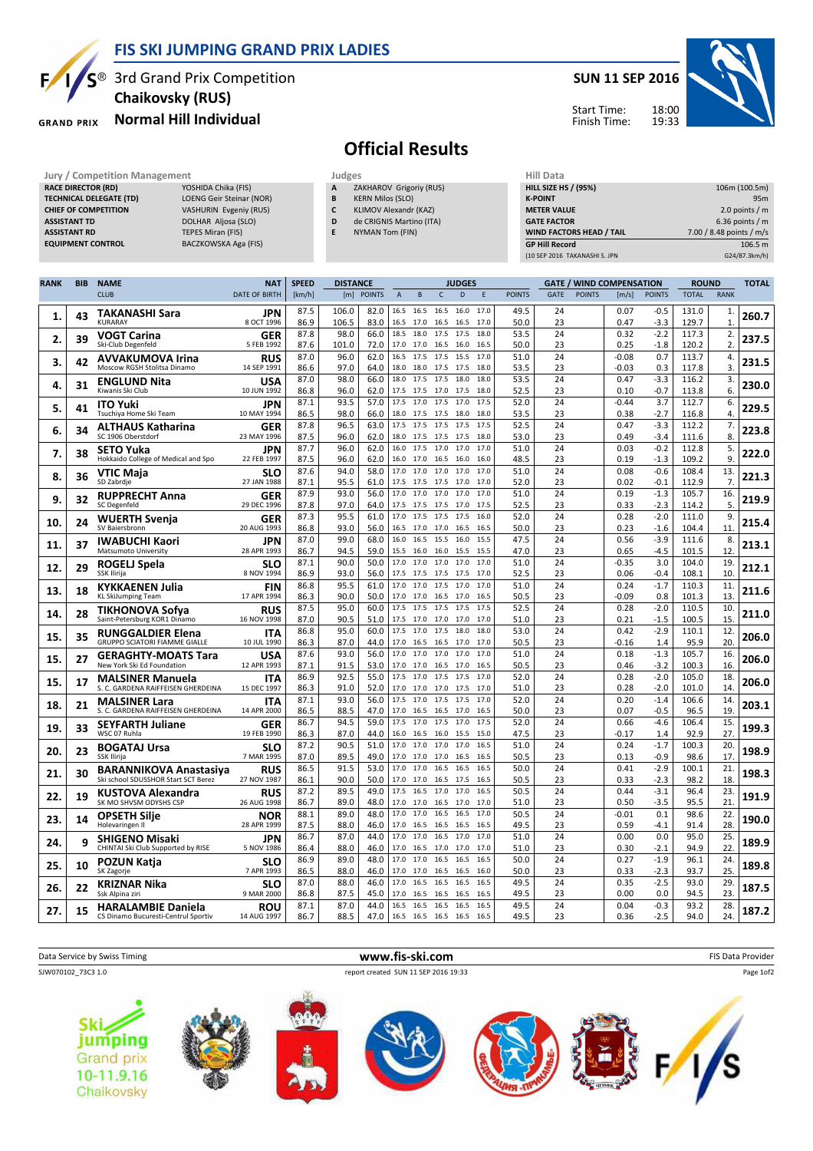

## **FIS SKI JUMPING GRAND PRIX LADIES**

**Chaikovsky (RUS)**

**TECHNICAL DELEGATE (TD)** LOENG Geir Steinar (NOR) **CHIEF OF COMPETITION** VASHURIN Evgeniy (RUS) **ASSISTANT TD** DOLHAR Aljosa (SLO) **ASSISTANT RD** TEPES Miran (FIS) **EQUIPMENT CONTROL** BACZKOWSKA Aga (FIS)

**GRAND PRIX** 

**RACE DIRECTOR (RD)** 

# $S^{\otimes}$  3rd Grand Prix Competition **Normal Hill Individual**

### **SUN 11 SEP 2016**



Start Time: Finish Time:

## **Official Results**

- **B** KERN Milos (SLO)
- **C** KLIMOV Alexandr (KAZ)
- **D** de CRIGNIS Martino (ITA)
- **E** NYMAN Tom (FIN)

| niil Data                     |                          |
|-------------------------------|--------------------------|
| <b>HILL SIZE HS / (95%)</b>   | 106m (100.5m)            |
| <b>K-POINT</b>                | 95 <sub>m</sub>          |
| <b>METER VALUE</b>            | 2.0 points $/m$          |
| <b>GATE FACTOR</b>            | $6.36$ points / m        |
| WIND FACTORS HEAD / TAIL      | 7.00 / 8.48 points / m/s |
| <b>GP Hill Record</b>         | 106.5 m                  |
| (10 SEP 2016 TAKANASHI S. JPN | G24/87.3km/h)            |

| <b>RANK</b> | <b>BIB</b> | <b>NAME</b>                                                          | <b>NAT</b>                | <b>SPEED</b> | <b>DISTANCE</b> |               |              |                             |                   | <b>JUDGES</b> |              |               | <b>GATE / WIND COMPENSATION</b> |               |                    | <b>ROUND</b>     |                | <b>TOTAL</b>       |       |
|-------------|------------|----------------------------------------------------------------------|---------------------------|--------------|-----------------|---------------|--------------|-----------------------------|-------------------|---------------|--------------|---------------|---------------------------------|---------------|--------------------|------------------|----------------|--------------------|-------|
|             |            | <b>CLUB</b>                                                          | <b>DATE OF BIRTH</b>      | [km/h]       | [m]             | <b>POINTS</b> | $\mathsf A$  | B                           | $\mathsf{C}$      | D             |              | <b>POINTS</b> | <b>GATE</b>                     | <b>POINTS</b> | [m/s]              | <b>POINTS</b>    | <b>TOTAL</b>   | <b>RANK</b>        |       |
| 1.          | 43         | <b>TAKANASHI Sara</b><br><b>KURARAY</b>                              | JPN<br>8 OCT 1996         | 87.5<br>86.9 | 106.0<br>106.5  | 82.0<br>83.0  | 16.5<br>16.5 | 16.5<br>17.0 16.5           | 16.5              | 16.0<br>16.5  | 17.0<br>17.0 | 49.5<br>50.0  | 24<br>23                        |               | 0.07<br>0.47       | $-0.5$<br>$-3.3$ | 131.0<br>129.7 | 1.<br>$\mathbf{1}$ | 260.7 |
| 2.          | 39         | <b>VOGT Carina</b><br>Ski-Club Degenfeld                             | GER<br>5 FEB 1992         | 87.8<br>87.6 | 98.0<br>101.0   | 66.0<br>72.0  | 18.5<br>17.0 | 18.0<br>17.0                | 17.5<br>16.5      | 17.5<br>16.0  | 18.0<br>16.5 | 53.5<br>50.0  | 24<br>23                        |               | 0.32<br>0.25       | $-2.2$<br>$-1.8$ | 117.3<br>120.2 | 2.<br>2.           | 237.5 |
| 3.          | 42         | <b>AVVAKUMOVA Irina</b><br>Moscow RGSH Stolitsa Dinamo               | RUS<br>14 SEP 1991        | 87.0<br>86.6 | 96.0<br>97.0    | 62.0<br>64.0  | 18.0         | 16.5 17.5 17.5<br>18.0 17.5 |                   | 15.5<br>17.5  | 17.0<br>18.0 | 51.0<br>53.5  | 24<br>23                        |               | $-0.08$<br>$-0.03$ | 0.7<br>0.3       | 113.7<br>117.8 | 4.<br>3.           | 231.5 |
| 4.          | 31         | <b>ENGLUND Nita</b>                                                  | <b>USA</b>                | 87.0         | 98.0            | 66.0          | 18.0         | 17.5                        | 17.5              | 18.0          | 18.0         | 53.5          | 24                              |               | 0.47               | $-3.3$           | 116.2          | 3.                 | 230.0 |
| 5.          | 41         | Kiwanis Ski Club<br><b>ITO Yuki</b>                                  | 10 JUN 1992<br>JPN        | 86.8<br>87.1 | 96.0<br>93.5    | 62.0<br>57.0  | 17.5<br>17.5 | 17.5<br>17.0                | 17.0<br>17.5      | 17.5<br>17.0  | 18.0<br>17.5 | 52.5<br>52.0  | 23<br>24                        |               | 0.10<br>$-0.44$    | $-0.7$<br>3.7    | 113.8<br>112.7 | 6.<br>6.           | 229.5 |
| 6.          | 34         | Tsuchiya Home Ski Team<br><b>ALTHAUS Katharina</b>                   | 10 MAY 1994<br>GER        | 86.5<br>87.8 | 98.0<br>96.5    | 66.0<br>63.0  | 18.0<br>17.5 | 17.5<br>17.5 17.5           | 17.5              | 18.0<br>17.5  | 18.0<br>17.5 | 53.5<br>52.5  | 23<br>24                        |               | 0.38<br>0.47       | $-2.7$<br>$-3.3$ | 116.8<br>112.2 | 4<br>7.            | 223.8 |
| 7.          | 38         | SC 1906 Oberstdorf<br><b>SETO Yuka</b>                               | 23 MAY 1996<br><b>JPN</b> | 87.5<br>87.7 | 96.0<br>96.0    | 62.0<br>62.0  | 18.0<br>16.0 | 17.5<br>17.5                | 17.5<br>17.0      | 17.5<br>17.0  | 18.0<br>17.0 | 53.0<br>51.0  | 23<br>24                        |               | 0.49<br>0.03       | $-3.4$<br>$-0.2$ | 111.6<br>112.8 | 8.<br>5.           | 222.0 |
|             |            | Hokkaido College of Medical and Spo<br>VTIC Maja                     | 22 FEB 1997<br><b>SLO</b> | 87.5<br>87.6 | 96.0<br>94.0    | 62.0<br>58.0  | 17.0         | 16.0 17.0<br>17.0           | 16.5<br>17.0      | 16.0<br>17.0  | 16.0<br>17.0 | 48.5<br>51.0  | 23<br>24                        |               | 0.19<br>0.08       | $-1.3$<br>$-0.6$ | 109.2<br>108.4 | 9.<br>13.          |       |
| 8.          | 36         | SD Zabrdje                                                           | 27 JAN 1988               | 87.1         | 95.5            | 61.0          | 17.5         | 17.5                        | 17.5              | 17.0          | 17.0         | 52.0          | 23                              |               | 0.02               | $-0.1$           | 112.9          | 7.                 | 221.3 |
| 9           | 32         | <b>RUPPRECHT Anna</b><br><b>SC Degenfeld</b>                         | <b>GER</b><br>29 DEC 1996 | 87.9<br>87.8 | 93.0<br>97.0    | 56.0<br>64.0  | 17.0<br>17.5 | 17.0<br>17.5                | 17.0<br>17.5      | 17.0<br>17.0  | 17.0<br>17.5 | 51.0<br>52.5  | 24<br>23                        |               | 0.19<br>0.33       | $-1.3$<br>$-2.3$ | 105.7<br>114.2 | 16.<br>5           | 219.9 |
| 10.         | 24         | WUERTH Svenja<br>SV Baiersbronn                                      | GER<br>20 AUG 1993        | 87.3<br>86.8 | 95.5<br>93.0    | 61.0<br>56.0  | 17.0<br>16.5 | 17.5<br>17.0 17.0           | 17.5              | 17.5<br>16.5  | 16.0<br>16.5 | 52.0<br>50.0  | 24<br>23                        |               | 0.28<br>0.23       | $-2.0$<br>$-1.6$ | 111.0<br>104.4 | 9.<br>11           | 215.4 |
| 11.         | 37         | <b>IWABUCHI Kaori</b><br>Matsumoto University                        | <b>JPN</b><br>28 APR 1993 | 87.0<br>86.7 | 99.0<br>94.5    | 68.0<br>59.0  | 16.0<br>15.5 | 16.5<br>16.0                | 15.5<br>16.0      | 16.0<br>15.5  | 15.5<br>15.5 | 47.5<br>47.0  | 24<br>23                        |               | 0.56<br>0.65       | $-3.9$<br>$-4.5$ | 111.6<br>101.5 | 8.<br>12           | 213.1 |
| 12.         | 29         | ROGELJ Spela                                                         | <b>SLO</b><br>8 NOV 1994  | 87.1         | 90.0            | 50.0          | 17.0<br>17.5 | 17.0<br>17.5 17.5           | 17.0              | 17.0<br>17.5  | 17.0<br>17.0 | 51.0          | 24                              |               | $-0.35$            | 3.0              | 104.0          | 19                 | 212.1 |
| 13.         | 18         | SSK Ilirija<br><b>KYKKAENEN Julia</b>                                | FIN                       | 86.9<br>86.8 | 93.0<br>95.5    | 56.0<br>61.0  | 17.0         | 17.0                        | 17.5              | 17.0          | 17.0         | 52.5<br>51.0  | 23<br>24                        |               | 0.06<br>0.24       | $-0.4$<br>$-1.7$ | 108.1<br>110.3 | 10<br>11.          | 211.6 |
| 14.         | 28         | KL SkiJumping Team<br><b>TIKHONOVA Sofya</b>                         | 17 APR 1994<br><b>RUS</b> | 86.3<br>87.5 | 90.0<br>95.0    | 50.0<br>60.0  | 17.0         | 17.0<br>17.5 17.5 17.5      | 16.5              | 17.0<br>17.5  | 16.5<br>17.5 | 50.5<br>52.5  | 23<br>24                        |               | $-0.09$<br>0.28    | 0.8<br>$-2.0$    | 101.3<br>110.5 | 13<br>10           | 211.0 |
|             |            | Saint-Petersburg KOR1 Dinamo                                         | 16 NOV 1998               | 87.0<br>86.8 | 90.5<br>95.0    | 51.0<br>60.0  | 17.5<br>17.5 | 17.0<br>17.0                | 17.0<br>17.5      | 17.0<br>18.0  | 17.0<br>18.0 | 51.0<br>53.0  | 23<br>24                        |               | 0.21<br>0.42       | $-1.5$<br>$-2.9$ | 100.5<br>110.1 | 15<br>12.          |       |
| 15          | 35         | <b>RUNGGALDIER Elena</b><br><b>GRUPPO SCIATORI FIAMME GIALLE</b>     | <b>ITA</b><br>10 JUL 1990 | 86.3         | 87.0            | 44.0          | 17.0         | 16.5                        | 16.5              | 17.0          | 17.0         | 50.5          | 23                              |               | $-0.16$            | 1.4              | 95.9           | 20                 | 206.0 |
| 15          | 27         | <b>GERAGHTY-MOATS Tara</b><br>New York Ski Ed Foundation             | <b>USA</b><br>12 APR 1993 | 87.6<br>87.1 | 93.0<br>91.5    | 56.0<br>53.0  | 17.0<br>17.0 | 17.0<br>17.0                | 17.0<br>16.5      | 17.0<br>17.0  | 17.0<br>16.5 | 51.0<br>50.5  | 24<br>23                        |               | 0.18<br>0.46       | $-1.3$<br>$-3.2$ | 105.7<br>100.3 | 16.<br>16          | 206.0 |
| 15.         | 17         | <b>MALSINER Manuela</b><br>S. C. GARDENA RAIFFEISEN GHERDEINA        | <b>ITA</b><br>15 DEC 1997 | 86.9<br>86.3 | 92.5<br>91.0    | 55.0<br>52.0  | 17.0         | 17.5 17.0 17.5<br>17.0      | 17.0              | 17.5<br>17.5  | 17.0<br>17.0 | 52.0<br>51.0  | 24<br>23                        |               | 0.28<br>0.28       | $-2.0$<br>$-2.0$ | 105.0<br>101.0 | 18.<br>14          | 206.0 |
| 18          | 21         | <b>MALSINER Lara</b>                                                 | ITA                       | 87.1         | 93.0            | 56.0          | 17.5         | 17.0                        | 17.5              | 17.5          | 17.0         | 52.0          | 24                              |               | 0.20               | $-1.4$           | 106.6          | 14                 | 203.1 |
|             |            | S. C. GARDENA RAIFFEISEN GHERDEINA<br><b>SEYFARTH Juliane</b>        | 14 APR 2000<br>GER        | 86.5<br>86.7 | 88.5<br>94.5    | 47.0<br>59.0  | 17.5         | 17.0 16.5<br>17.0           | 16.5 17.0<br>17.5 | 17.0          | 16.5<br>17.5 | 50.0<br>52.0  | 23<br>24                        |               | 0.07<br>0.66       | $-0.5$<br>$-4.6$ | 96.5<br>106.4  | 19<br>15.          |       |
| 19          | 33         | WSC 07 Ruhla                                                         | 19 FEB 1990               | 86.3<br>87.2 | 87.0<br>90.5    | 44.0<br>51.0  | 16.0<br>17.0 | 16.5<br>17.0                | 16.0<br>17.0      | 15.5<br>17.0  | 15.0<br>16.5 | 47.5<br>51.0  | 23<br>24                        |               | $-0.17$<br>0.24    | 1.4<br>$-1.7$    | 92.9<br>100.3  | 27<br>20           | 199.3 |
| 20.         | 23         | <b>BOGATAJ Ursa</b><br>SSK Ilirija                                   | <b>SLO</b><br>7 MAR 1995  | 87.0         | 89.5            | 49.0          | 17.0         | 17.0                        | 17.0              | 16.5          | 16.5         | 50.5          | 23                              |               | 0.13               | $-0.9$           | 98.6           | 17                 | 198.9 |
| 21.         | 30         | <b>BARANNIKOVA Anastasiya</b><br>Ski school SDUSSHOR Start SCT Berez | RUS<br>27 NOV 1987        | 86.5<br>86.1 | 91.5<br>90.0    | 53.0<br>50.0  | 17.0<br>17.0 | 17.0<br>17.0                | 16.5<br>16.5      | 16.5<br>17.5  | 16.5<br>16.5 | 50.0<br>50.5  | 24<br>23                        |               | 0.41<br>0.33       | $-2.9$<br>$-2.3$ | 100.1<br>98.2  | 21.<br>18          | 198.3 |
| 22.         | 19         | KUSTOVA Alexandra<br>SK MO SHVSM ODYSHS CSP                          | <b>RUS</b><br>26 AUG 1998 | 87.2<br>86.7 | 89.5<br>89.0    | 49.0<br>48.0  | 17.5<br>17.0 | 16.5<br>17.0                | 17.0<br>16.5      | 17.0<br>17.0  | 16.5<br>17.0 | 50.5<br>51.0  | 24<br>23                        |               | 0.44<br>0.50       | $-3.1$<br>$-3.5$ | 96.4<br>95.5   | 23<br>21           | 191.9 |
| 23.         | 14         | <b>OPSETH Silje</b><br>Holevaringen II                               | NOR<br>28 APR 1999        | 88.1<br>87.5 | 89.0<br>88.0    | 48.0<br>46.0  | 17.0<br>17.0 | 17.0<br>16.5                | 16.5<br>16.5      | 16.5<br>16.5  | 17.0<br>16.5 | 50.5<br>49.5  | 24<br>23                        |               | $-0.01$<br>0.59    | 0.1<br>$-4.1$    | 98.6<br>91.4   | 22<br>28           | 190.0 |
| 24.         | 9          | <b>SHIGENO Misaki</b>                                                | <b>JPN</b>                | 86.7         | 87.0            | 44.0          | 17.0         | 17.0                        | 16.5              | 17.0          | 17.0         | 51.0<br>51.0  | 24<br>23                        |               | 0.00<br>0.30       | 0.0              | 95.0           | 25<br>22           | 189.9 |
| 25          | 10         | CHINTAI Ski Club Supported by RISE<br>POZUN Katja                    | 5 NOV 1986<br>SLO         | 86.4<br>86.9 | 88.0<br>89.0    | 46.0<br>48.0  | 17.0<br>17.0 | 16.5<br>17.0                | 17.0<br>16.5      | 17.0<br>16.5  | 17.0<br>16.5 | 50.0          | 24                              |               | 0.27               | $-2.1$<br>$-1.9$ | 94.9<br>96.1   | 24                 | 189.8 |
|             |            | SK Zagorje                                                           | 7 APR 1993                | 86.5<br>87.0 | 88.0<br>88.0    | 46.0<br>46.0  | 17.0<br>17.0 | 17.0<br>16.5                | 16.5<br>16.5      | 16.5<br>16.5  | 16.0<br>16.5 | 50.0<br>49.5  | 23<br>24                        |               | 0.33<br>0.35       | $-2.3$<br>$-2.5$ | 93.7<br>93.0   | 25<br>29           |       |
| 26.         | 22         | KRIZNAR Nika<br>Ssk Alpina ziri                                      | <b>SLO</b><br>9 MAR 2000  | 86.8         | 87.5            | 45.0          | 17.0         | 16.5 16.5                   |                   | 16.5          | 16.5         | 49.5          | 23                              |               | 0.00               | 0.0              | 94.5           | 23.                | 187.5 |
| 27.         | 15         | <b>HARALAMBIE Daniela</b><br>CS Dinamo Bucuresti-Centrul Sportiv     | <b>ROU</b><br>14 AUG 1997 | 87.1<br>86.7 | 87.0<br>88.5    | 44.0<br>47.0  | 16.5         | 16.5<br>16.5 16.5 16.5 16.5 | 16.5              | 16.5          | 16.5<br>16.5 | 49.5<br>49.5  | 24<br>23                        |               | 0.04<br>0.36       | $-0.3$<br>$-2.5$ | 93.2<br>94.0   | 28.<br>24.         | 187.2 |



**Judges** Judges **Hill Data All Data All Data All Data All Data All Data All Data All Data All Data All Data All Data All Data All Data All Data All Data All Data All Data All Data All Data All Data All Data All Data All Da ZAKHAROV Grigoriy (RUS)**